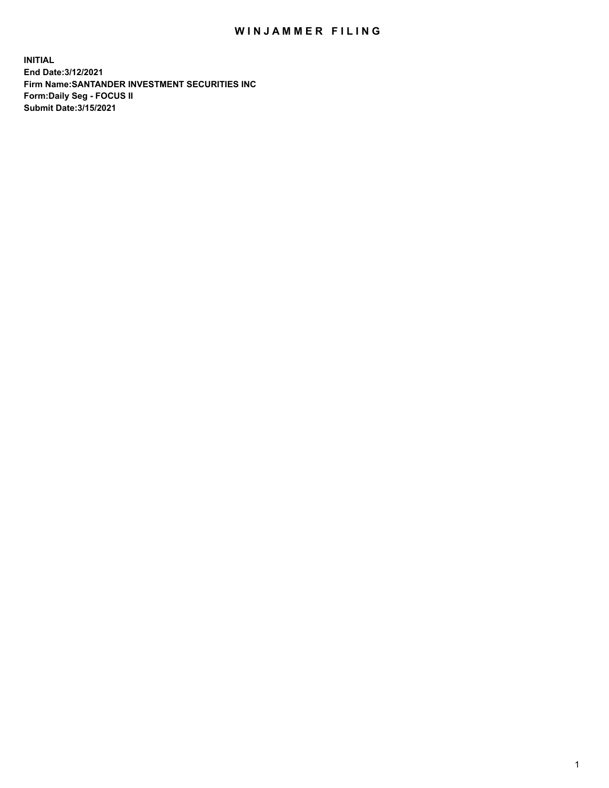## WIN JAMMER FILING

**INITIAL End Date:3/12/2021 Firm Name:SANTANDER INVESTMENT SECURITIES INC Form:Daily Seg - FOCUS II Submit Date:3/15/2021**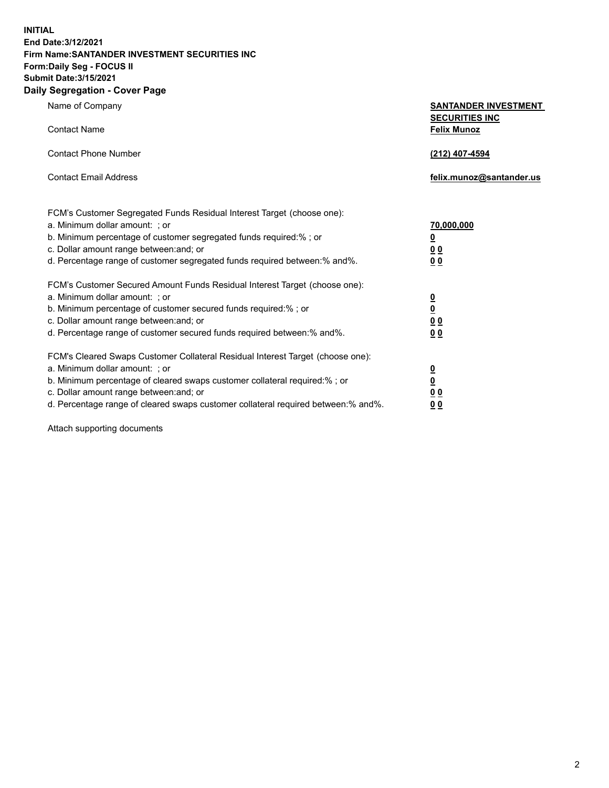**INITIAL End Date:3/12/2021 Firm Name:SANTANDER INVESTMENT SECURITIES INC Form:Daily Seg - FOCUS II Submit Date:3/15/2021 Daily Segregation - Cover Page**

| Name of Company                                                                   | <b>SANTANDER INVESTMENT</b><br><b>SECURITIES INC</b> |
|-----------------------------------------------------------------------------------|------------------------------------------------------|
| <b>Contact Name</b>                                                               | <b>Felix Munoz</b>                                   |
| <b>Contact Phone Number</b>                                                       | (212) 407-4594                                       |
| <b>Contact Email Address</b>                                                      | felix.munoz@santander.us                             |
| FCM's Customer Segregated Funds Residual Interest Target (choose one):            |                                                      |
| a. Minimum dollar amount: ; or                                                    | 70,000,000                                           |
| b. Minimum percentage of customer segregated funds required:%; or                 | <u>0</u>                                             |
| c. Dollar amount range between: and; or                                           | 0 <sub>0</sub>                                       |
| d. Percentage range of customer segregated funds required between:% and%.         | 0 <sub>0</sub>                                       |
| FCM's Customer Secured Amount Funds Residual Interest Target (choose one):        |                                                      |
| a. Minimum dollar amount: ; or                                                    | $\frac{0}{0}$                                        |
| b. Minimum percentage of customer secured funds required:%; or                    |                                                      |
| c. Dollar amount range between: and; or                                           | 0 <sub>0</sub>                                       |
| d. Percentage range of customer secured funds required between:% and%.            | 0 <sub>0</sub>                                       |
| FCM's Cleared Swaps Customer Collateral Residual Interest Target (choose one):    |                                                      |
| a. Minimum dollar amount: ; or                                                    | $\overline{\mathbf{0}}$                              |
| b. Minimum percentage of cleared swaps customer collateral required:% ; or        | $\underline{\mathbf{0}}$                             |
| c. Dollar amount range between: and; or                                           | 0 <sub>0</sub>                                       |
| d. Percentage range of cleared swaps customer collateral required between:% and%. | <u>00</u>                                            |

Attach supporting documents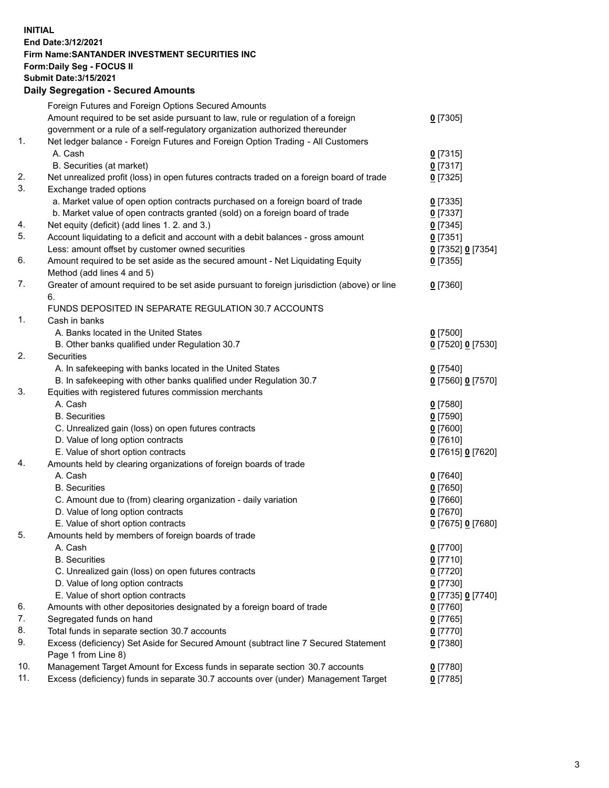**INITIAL End Date:3/12/2021 Firm Name:SANTANDER INVESTMENT SECURITIES INC Form:Daily Seg - FOCUS II Submit Date:3/15/2021 Daily Segregation - Secured Amounts**

|     | Foreign Futures and Foreign Options Secured Amounts                                         |                   |
|-----|---------------------------------------------------------------------------------------------|-------------------|
|     | Amount required to be set aside pursuant to law, rule or regulation of a foreign            | $0$ [7305]        |
|     | government or a rule of a self-regulatory organization authorized thereunder                |                   |
| 1.  | Net ledger balance - Foreign Futures and Foreign Option Trading - All Customers             |                   |
|     | A. Cash                                                                                     | $0$ [7315]        |
|     | B. Securities (at market)                                                                   | $0$ [7317]        |
| 2.  | Net unrealized profit (loss) in open futures contracts traded on a foreign board of trade   | $0$ [7325]        |
| 3.  | Exchange traded options                                                                     |                   |
|     | a. Market value of open option contracts purchased on a foreign board of trade              | $0$ [7335]        |
|     | b. Market value of open contracts granted (sold) on a foreign board of trade                | $0$ [7337]        |
| 4.  | Net equity (deficit) (add lines 1. 2. and 3.)                                               | $0$ [7345]        |
| 5.  | Account liquidating to a deficit and account with a debit balances - gross amount           | $0$ [7351]        |
|     | Less: amount offset by customer owned securities                                            | 0 [7352] 0 [7354] |
| 6.  | Amount required to be set aside as the secured amount - Net Liquidating Equity              | $0$ [7355]        |
|     | Method (add lines 4 and 5)                                                                  |                   |
| 7.  | Greater of amount required to be set aside pursuant to foreign jurisdiction (above) or line | $0$ [7360]        |
|     | 6.                                                                                          |                   |
|     | FUNDS DEPOSITED IN SEPARATE REGULATION 30.7 ACCOUNTS                                        |                   |
| 1.  | Cash in banks                                                                               |                   |
|     | A. Banks located in the United States                                                       | $0$ [7500]        |
|     | B. Other banks qualified under Regulation 30.7                                              | 0 [7520] 0 [7530] |
| 2.  | <b>Securities</b>                                                                           |                   |
|     | A. In safekeeping with banks located in the United States                                   | $0$ [7540]        |
|     | B. In safekeeping with other banks qualified under Regulation 30.7                          | 0 [7560] 0 [7570] |
| 3.  | Equities with registered futures commission merchants                                       |                   |
|     | A. Cash                                                                                     | $0$ [7580]        |
|     | <b>B.</b> Securities                                                                        | $0$ [7590]        |
|     | C. Unrealized gain (loss) on open futures contracts                                         | $0$ [7600]        |
|     | D. Value of long option contracts                                                           | $0$ [7610]        |
|     | E. Value of short option contracts                                                          | 0 [7615] 0 [7620] |
| 4.  | Amounts held by clearing organizations of foreign boards of trade                           |                   |
|     | A. Cash                                                                                     | $0$ [7640]        |
|     | <b>B.</b> Securities                                                                        | $0$ [7650]        |
|     | C. Amount due to (from) clearing organization - daily variation                             | $0$ [7660]        |
|     | D. Value of long option contracts                                                           | $0$ [7670]        |
|     | E. Value of short option contracts                                                          | 0 [7675] 0 [7680] |
| 5.  | Amounts held by members of foreign boards of trade                                          |                   |
|     | A. Cash                                                                                     | 0 [7700]          |
|     | <b>B.</b> Securities                                                                        | $0$ [7710]        |
|     | C. Unrealized gain (loss) on open futures contracts                                         | $0$ [7720]        |
|     | D. Value of long option contracts                                                           | $0$ [7730]        |
|     | E. Value of short option contracts                                                          | 0 [7735] 0 [7740] |
| 6.  | Amounts with other depositories designated by a foreign board of trade                      | $0$ [7760]        |
| 7.  | Segregated funds on hand                                                                    | $0$ [7765]        |
| 8.  | Total funds in separate section 30.7 accounts                                               | $0$ [7770]        |
| 9.  | Excess (deficiency) Set Aside for Secured Amount (subtract line 7 Secured Statement         | $0$ [7380]        |
|     | Page 1 from Line 8)                                                                         |                   |
| 10. | Management Target Amount for Excess funds in separate section 30.7 accounts                 | $0$ [7780]        |
| 11. | Excess (deficiency) funds in separate 30.7 accounts over (under) Management Target          | $0$ [7785]        |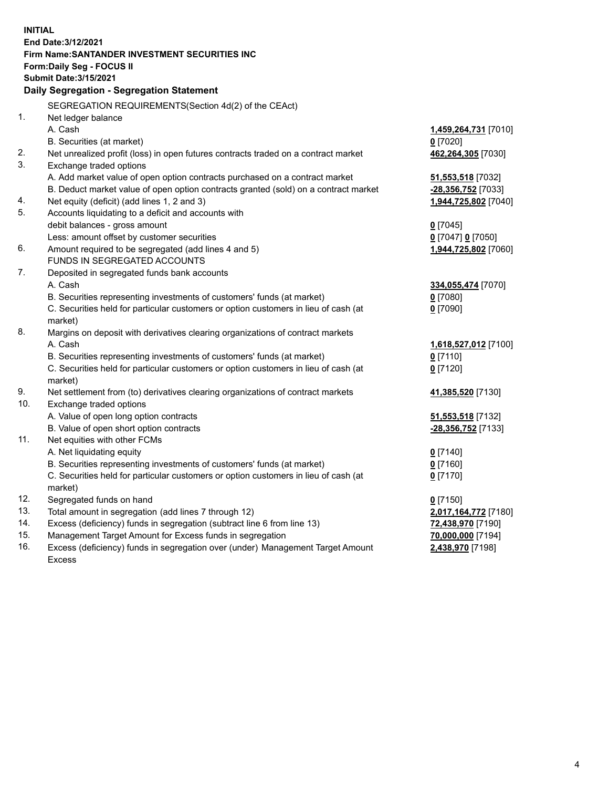| <b>INITIAL</b> | End Date: 3/12/2021<br>Firm Name: SANTANDER INVESTMENT SECURITIES INC<br>Form: Daily Seg - FOCUS II<br><b>Submit Date: 3/15/2021</b> |                                        |
|----------------|--------------------------------------------------------------------------------------------------------------------------------------|----------------------------------------|
|                | Daily Segregation - Segregation Statement                                                                                            |                                        |
|                | SEGREGATION REQUIREMENTS(Section 4d(2) of the CEAct)                                                                                 |                                        |
| 1.             | Net ledger balance                                                                                                                   |                                        |
|                | A. Cash                                                                                                                              | 1,459,264,731 [7010]                   |
|                | B. Securities (at market)                                                                                                            | $0$ [7020]                             |
| 2.             | Net unrealized profit (loss) in open futures contracts traded on a contract market                                                   | 462,264,305 [7030]                     |
| 3.             | Exchange traded options                                                                                                              |                                        |
|                | A. Add market value of open option contracts purchased on a contract market                                                          | 51,553,518 [7032]                      |
|                | B. Deduct market value of open option contracts granted (sold) on a contract market                                                  | -28,356,752 [7033]                     |
| 4.             | Net equity (deficit) (add lines 1, 2 and 3)                                                                                          | 1,944,725,802 [7040]                   |
| 5.             | Accounts liquidating to a deficit and accounts with                                                                                  |                                        |
|                | debit balances - gross amount                                                                                                        | $0$ [7045]                             |
|                | Less: amount offset by customer securities                                                                                           | 0 [7047] 0 [7050]                      |
| 6.             | Amount required to be segregated (add lines 4 and 5)                                                                                 | 1,944,725,802 [7060]                   |
|                | FUNDS IN SEGREGATED ACCOUNTS                                                                                                         |                                        |
| 7.             | Deposited in segregated funds bank accounts                                                                                          |                                        |
|                | A. Cash                                                                                                                              | 334,055,474 [7070]                     |
|                | B. Securities representing investments of customers' funds (at market)                                                               | $0$ [7080]                             |
|                | C. Securities held for particular customers or option customers in lieu of cash (at                                                  | $0$ [7090]                             |
|                | market)                                                                                                                              |                                        |
| 8.             | Margins on deposit with derivatives clearing organizations of contract markets                                                       |                                        |
|                | A. Cash                                                                                                                              | 1,618,527,012 [7100]                   |
|                | B. Securities representing investments of customers' funds (at market)                                                               | $Q$ [7110]                             |
|                | C. Securities held for particular customers or option customers in lieu of cash (at                                                  | $0$ [7120]                             |
|                | market)                                                                                                                              |                                        |
| 9.             | Net settlement from (to) derivatives clearing organizations of contract markets                                                      | 41,385,520 [7130]                      |
| 10.            | Exchange traded options                                                                                                              |                                        |
|                | A. Value of open long option contracts                                                                                               | 51,553,518 [7132]                      |
|                | B. Value of open short option contracts                                                                                              | -28,356,752 [7133]                     |
| 11.            | Net equities with other FCMs                                                                                                         |                                        |
|                | A. Net liquidating equity                                                                                                            | $0$ [7140]                             |
|                | B. Securities representing investments of customers' funds (at market)                                                               | $0$ [7160]                             |
|                | C. Securities held for particular customers or option customers in lieu of cash (at                                                  | $0$ [7170]                             |
| 12.            | market)                                                                                                                              |                                        |
| 13.            | Segregated funds on hand<br>Total amount in segregation (add lines 7 through 12)                                                     | $0$ [7150]                             |
| 14.            | Excess (deficiency) funds in segregation (subtract line 6 from line 13)                                                              | 2,017,164,772 [7180]                   |
| 15.            | Management Target Amount for Excess funds in segregation                                                                             | 72,438,970 [7190]<br>70,000,000 [7194] |
| 16.            | Excess (deficiency) funds in segregation over (under) Management Target Amount                                                       | 2,438,970 [7198]                       |
|                | <b>Excess</b>                                                                                                                        |                                        |